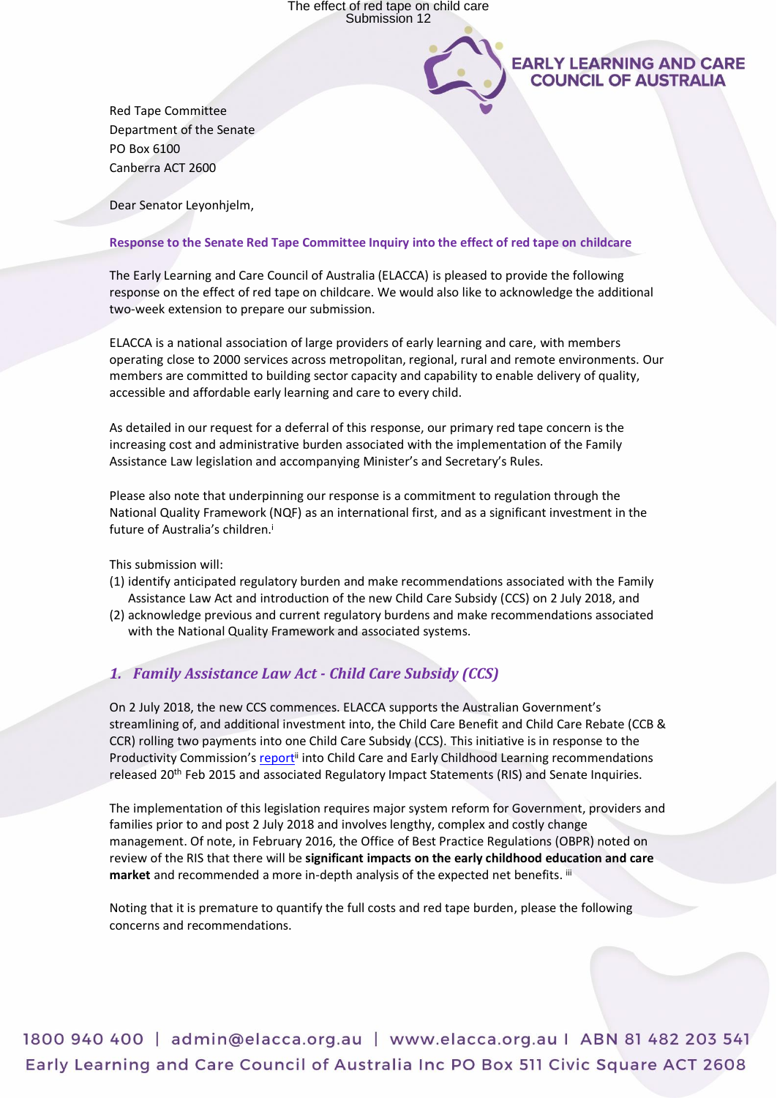

Red Tape Committee Department of the Senate PO Box 6100 Canberra ACT 2600

Dear Senator Leyonhjelm,

# **Response to the Senate Red Tape Committee Inquiry into the effect of red tape on childcare**

The Early Learning and Care Council of Australia (ELACCA) is pleased to provide the following response on the effect of red tape on childcare. We would also like to acknowledge the additional two-week extension to prepare our submission.

ELACCA is a national association of large providers of early learning and care, with members operating close to 2000 services across metropolitan, regional, rural and remote environments. Our members are committed to building sector capacity and capability to enable delivery of quality, accessible and affordable early learning and care to every child.

As detailed in our request for a deferral of this response, our primary red tape concern is the increasing cost and administrative burden associated with the implementation of the Family Assistance Law legislation and accompanying Minister's and Secretary's Rules.

Please also note that underpinning our response is a commitment to regulation through the National Quality Framework (NQF) as an international first, and as a significant investment in the future of Australia's children.<sup>i</sup>

This submission will:

- (1) identify anticipated regulatory burden and make recommendations associated with the Family Assistance Law Act and introduction of the new Child Care Subsidy (CCS) on 2 July 2018, and
- (2) acknowledge previous and current regulatory burdens and make recommendations associated with the National Quality Framework and associated systems.

# *1. Family Assistance Law Act - Child Care Subsidy (CCS)*

On 2 July 2018, the new CCS commences. ELACCA supports the Australian Government's streamlining of, and additional investment into, the Child Care Benefit and Child Care Rebate (CCB & CCR) rolling two payments into one Child Care Subsidy (CCS). This initiative is in response to the Productivity Commission's [report](https://www.pc.gov.au/inquiries/completed/childcare/report)<sup>ii</sup> into Child Care and Early Childhood Learning recommendations released 20th Feb 2015 and associated Regulatory Impact Statements (RIS) and Senate Inquiries.

The implementation of this legislation requires major system reform for Government, providers and families prior to and post 2 July 2018 and involves lengthy, complex and costly change management. Of note, in February 2016, the Office of Best Practice Regulations (OBPR) noted on review of the RIS that there will be **significant impacts on the early childhood education and care**  market and recommended a more in-depth analysis of the expected net benefits. iii

Noting that it is premature to quantify the full costs and red tape burden, please the following concerns and recommendations.

1800 940 400 | admin@elacca.org.au | www.elacca.org.au | ABN 81 482 203 541 Early Learning and Care Council of Australia Inc PO Box 511 Civic Square ACT 2608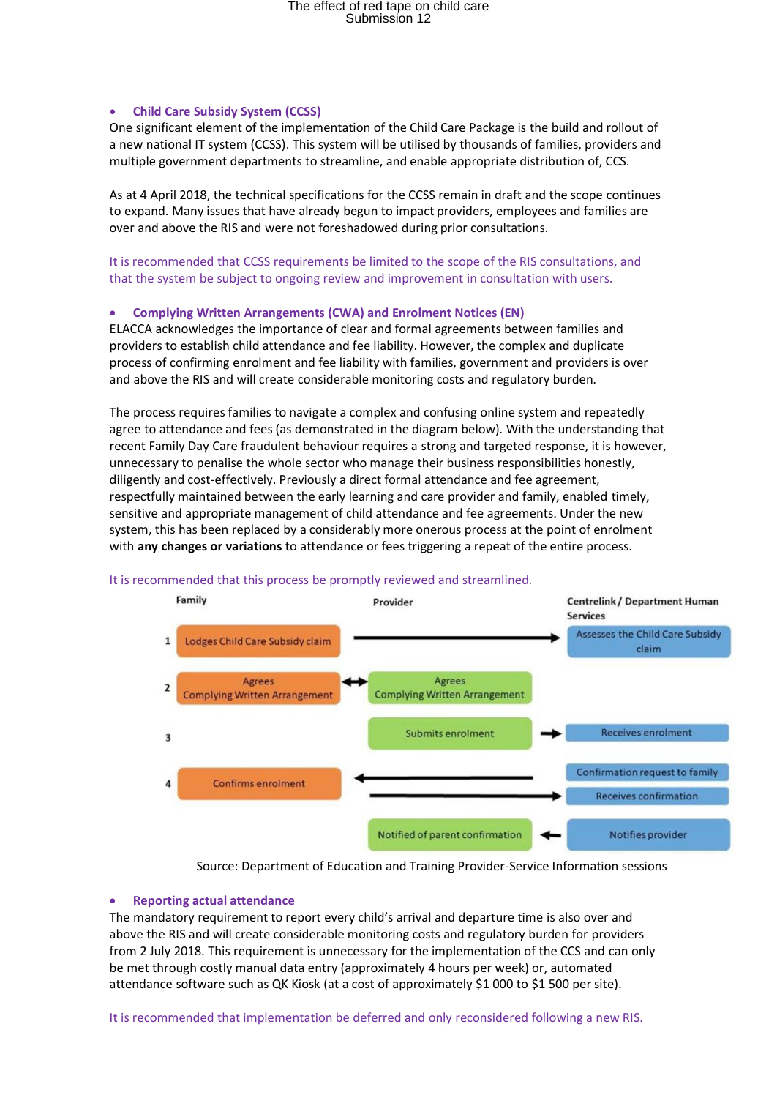# • **Child Care Subsidy System (CCSS)**

One significant element of the implementation of the Child Care Package is the build and rollout of a new national IT system (CCSS). This system will be utilised by thousands of families, providers and multiple government departments to streamline, and enable appropriate distribution of, CCS.

As at 4 April 2018, the technical specifications for the CCSS remain in draft and the scope continues to expand. Many issues that have already begun to impact providers, employees and families are over and above the RIS and were not foreshadowed during prior consultations.

It is recommended that CCSS requirements be limited to the scope of the RIS consultations, and that the system be subject to ongoing review and improvement in consultation with users.

# • **Complying Written Arrangements (CWA) and Enrolment Notices (EN)**

ELACCA acknowledges the importance of clear and formal agreements between families and providers to establish child attendance and fee liability. However, the complex and duplicate process of confirming enrolment and fee liability with families, government and providers is over and above the RIS and will create considerable monitoring costs and regulatory burden.

The process requires families to navigate a complex and confusing online system and repeatedly agree to attendance and fees (as demonstrated in the diagram below). With the understanding that recent Family Day Care fraudulent behaviour requires a strong and targeted response, it is however, unnecessary to penalise the whole sector who manage their business responsibilities honestly, diligently and cost-effectively. Previously a direct formal attendance and fee agreement, respectfully maintained between the early learning and care provider and family, enabled timely, sensitive and appropriate management of child attendance and fee agreements. Under the new system, this has been replaced by a considerably more onerous process at the point of enrolment with **any changes or variations** to attendance or fees triggering a repeat of the entire process.



# It is recommended that this process be promptly reviewed and streamlined.

Source: Department of Education and Training Provider-Service Information sessions

# • **Reporting actual attendance**

The mandatory requirement to report every child's arrival and departure time is also over and above the RIS and will create considerable monitoring costs and regulatory burden for providers from 2 July 2018. This requirement is unnecessary for the implementation of the CCS and can only be met through costly manual data entry (approximately 4 hours per week) or, automated attendance software such as QK Kiosk (at a cost of approximately \$1 000 to \$1 500 per site).

It is recommended that implementation be deferred and only reconsidered following a new RIS.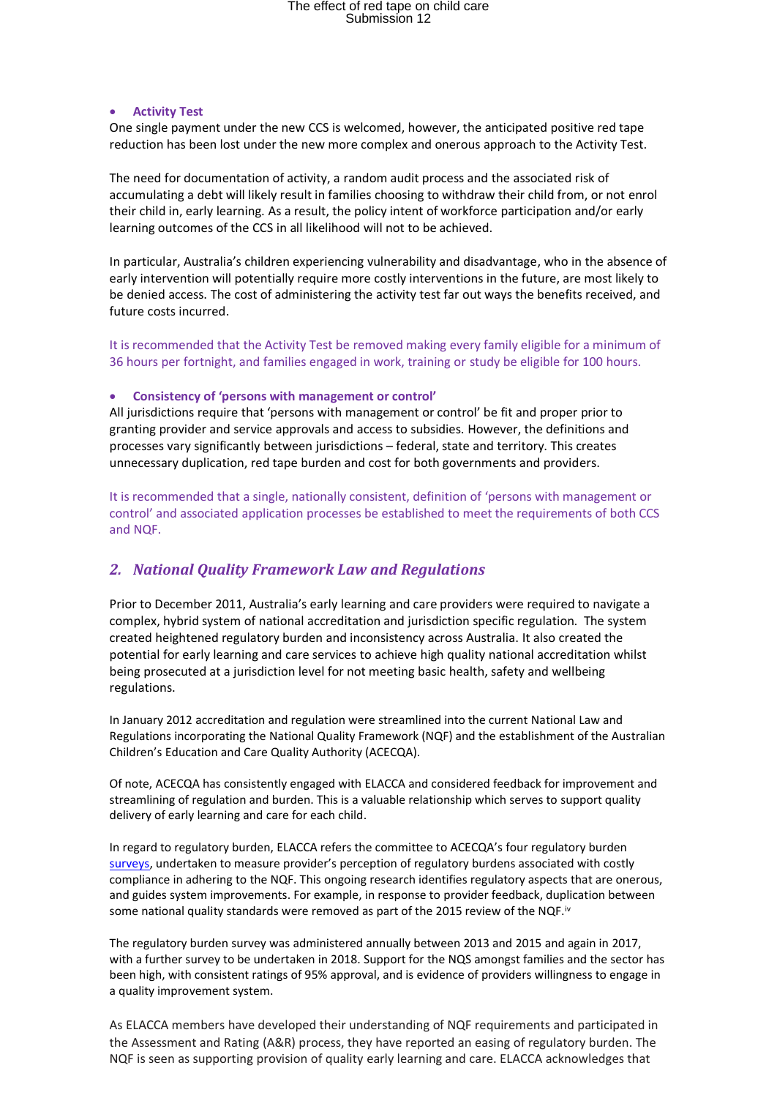### • **Activity Test**

One single payment under the new CCS is welcomed, however, the anticipated positive red tape reduction has been lost under the new more complex and onerous approach to the Activity Test.

The need for documentation of activity, a random audit process and the associated risk of accumulating a debt will likely result in families choosing to withdraw their child from, or not enrol their child in, early learning. As a result, the policy intent of workforce participation and/or early learning outcomes of the CCS in all likelihood will not to be achieved.

In particular, Australia's children experiencing vulnerability and disadvantage, who in the absence of early intervention will potentially require more costly interventions in the future, are most likely to be denied access. The cost of administering the activity test far out ways the benefits received, and future costs incurred.

It is recommended that the Activity Test be removed making every family eligible for a minimum of 36 hours per fortnight, and families engaged in work, training or study be eligible for 100 hours.

### • **Consistency of 'persons with management or control'**

All jurisdictions require that 'persons with management or control' be fit and proper prior to granting provider and service approvals and access to subsidies. However, the definitions and processes vary significantly between jurisdictions – federal, state and territory. This creates unnecessary duplication, red tape burden and cost for both governments and providers.

It is recommended that a single, nationally consistent, definition of 'persons with management or control' and associated application processes be established to meet the requirements of both CCS and NQF.

# *2. National Quality Framework Law and Regulations*

Prior to December 2011, Australia's early learning and care providers were required to navigate a complex, hybrid system of national accreditation and jurisdiction specific regulation. The system created heightened regulatory burden and inconsistency across Australia. It also created the potential for early learning and care services to achieve high quality national accreditation whilst being prosecuted at a jurisdiction level for not meeting basic health, safety and wellbeing regulations.

In January 2012 accreditation and regulation were streamlined into the current National Law and Regulations incorporating the National Quality Framework (NQF) and the establishment of the Australian Children's Education and Care Quality Authority (ACECQA).

Of note, ACECQA has consistently engaged with ELACCA and considered feedback for improvement and streamlining of regulation and burden. This is a valuable relationship which serves to support quality delivery of early learning and care for each child.

In regard to regulatory burden, ELACCA refers the committee to ACECQA's four regulatory burden [surveys,](https://www.acecqa.gov.au/resources/research#RB) undertaken to measure provider's perception of regulatory burdens associated with costly compliance in adhering to the NQF. This ongoing research identifies regulatory aspects that are onerous, and guides system improvements. For example, in response to provider feedback, duplication between some national quality standards were removed as part of the 2015 review of the NQF.<sup>iv</sup>

The regulatory burden survey was administered annually between 2013 and 2015 and again in 2017, with a further survey to be undertaken in 2018. Support for the NQS amongst families and the sector has been high, with consistent ratings of 95% approval, and is evidence of providers willingness to engage in a quality improvement system.

As ELACCA members have developed their understanding of NQF requirements and participated in the Assessment and Rating (A&R) process, they have reported an easing of regulatory burden. The NQF is seen as supporting provision of quality early learning and care. ELACCA acknowledges that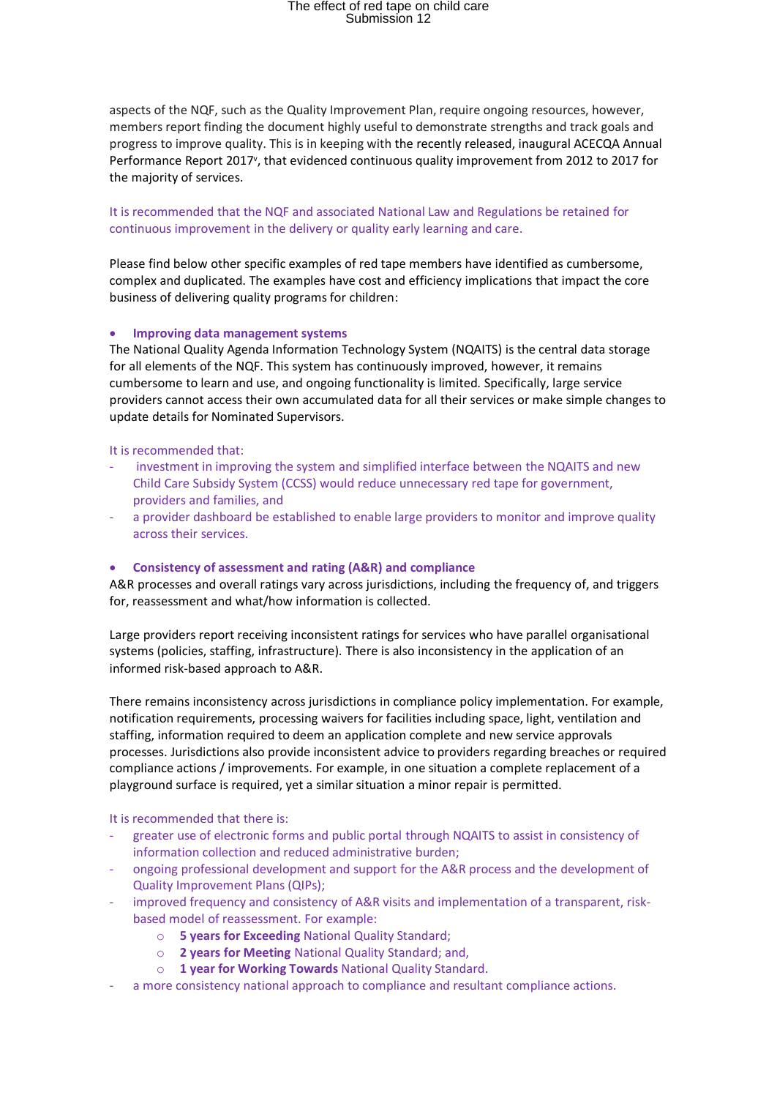aspects of the NQF, such as the Quality Improvement Plan, require ongoing resources, however, members report finding the document highly useful to demonstrate strengths and track goals and progress to improve quality. This is in keeping with the recently released, inaugural ACECQA Annual Performance Report 2017<sup>v</sup>, that evidenced continuous quality improvement from 2012 to 2017 for the majority of services.

It is recommended that the NQF and associated National Law and Regulations be retained for continuous improvement in the delivery or quality early learning and care.

Please find below other specific examples of red tape members have identified as cumbersome, complex and duplicated. The examples have cost and efficiency implications that impact the core business of delivering quality programs for children:

#### • **Improving data management systems**

The National Quality Agenda Information Technology System (NQAITS) is the central data storage for all elements of the NQF. This system has continuously improved, however, it remains cumbersome to learn and use, and ongoing functionality is limited. Specifically, large service providers cannot access their own accumulated data for all their services or make simple changes to update details for Nominated Supervisors.

## It is recommended that:

- investment in improving the system and simplified interface between the NQAITS and new Child Care Subsidy System (CCSS) would reduce unnecessary red tape for government, providers and families, and
- a provider dashboard be established to enable large providers to monitor and improve quality across their services.

### • **Consistency of assessment and rating (A&R) and compliance**

A&R processes and overall ratings vary across jurisdictions, including the frequency of, and triggers for, reassessment and what/how information is collected.

Large providers report receiving inconsistent ratings for services who have parallel organisational systems (policies, staffing, infrastructure). There is also inconsistency in the application of an informed risk-based approach to A&R.

There remains inconsistency across jurisdictions in compliance policy implementation. For example, notification requirements, processing waivers for facilities including space, light, ventilation and staffing, information required to deem an application complete and new service approvals processes. Jurisdictions also provide inconsistent advice to providers regarding breaches or required compliance actions / improvements. For example, in one situation a complete replacement of a playground surface is required, yet a similar situation a minor repair is permitted.

# It is recommended that there is:

- greater use of electronic forms and public portal through NQAITS to assist in consistency of information collection and reduced administrative burden;
- ongoing professional development and support for the A&R process and the development of Quality Improvement Plans (QIPs);
- improved frequency and consistency of A&R visits and implementation of a transparent, riskbased model of reassessment. For example:
	- o **5 years for Exceeding** National Quality Standard;
	- o **2 years for Meeting** National Quality Standard; and,
	- o **1 year for Working Towards** National Quality Standard.
- a more consistency national approach to compliance and resultant compliance actions.